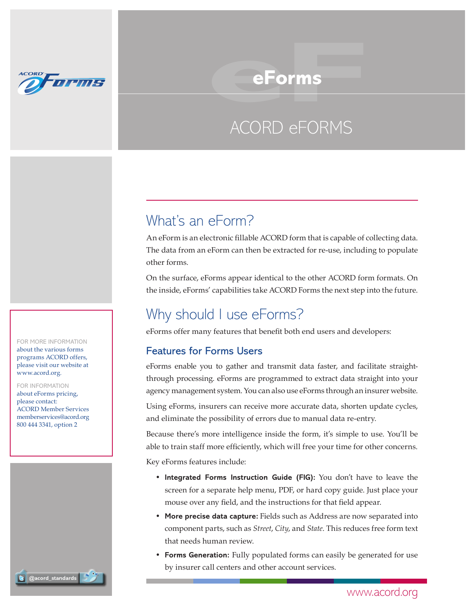

# ACORD eFORMS e**Forms**<br>ACORD eFORMS

# What's an eForm?

An eForm is an electronic fillable ACORD form that is capable of collecting data. The data from an eForm can then be extracted for re-use, including to populate other forms.

On the surface, eForms appear identical to the other ACORD form formats. On the inside, eForms' capabilities take ACORD Forms the next step into the future.

# Why should I use eForms?

eForms offer many features that benefit both end users and developers:

### Features for Forms Users

eForms enable you to gather and transmit data faster, and facilitate straightthrough processing. eForms are programmed to extract data straight into your agency management system. You can also use eForms through an insurer website.

Using eForms, insurers can receive more accurate data, shorten update cycles, and eliminate the possibility of errors due to manual data re-entry.

Because there's more intelligence inside the form, it's simple to use. You'll be able to train staff more efficiently, which will free your time for other concerns. Key eForms features include:

- **Integrated Forms Instruction Guide (FIG):** You don't have to leave the screen for a separate help menu, PDF, or hard copy guide. Just place your mouse over any field, and the instructions for that field appear.
- **More precise data capture:** Fields such as Address are now separated into component parts, such as *Street*, *City*, and *State*. This reduces free form text that needs human review.
- **Forms Generation:** Fully populated forms can easily be generated for use by insurer call centers and other account services.

For More Information about the various forms programs ACORD offers, please visit our website at www.acord.org.

For Information about eForms pricing, please contact: ACORD Member Services memberservices@acord.org 800 444 3341, option 2